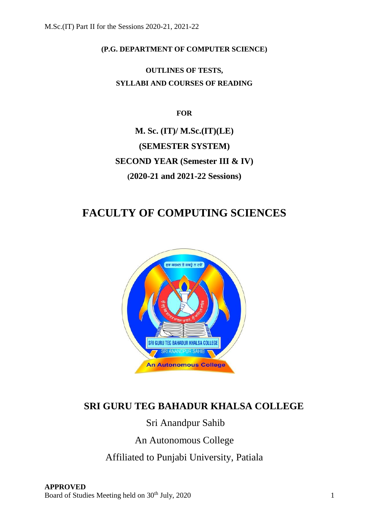**(P.G. DEPARTMENT OF COMPUTER SCIENCE)**

**OUTLINES OF TESTS, SYLLABI AND COURSES OF READING**

**FOR**

**M. Sc. (IT)/ M.Sc.(IT)(LE) (SEMESTER SYSTEM) SECOND YEAR (Semester III & IV) (2020-21 and 2021-22 Sessions)**

# **FACULTY OF COMPUTING SCIENCES**



# **SRI GURU TEG BAHADUR KHALSA COLLEGE**

# Sri Anandpur Sahib

An Autonomous College

Affiliated to Punjabi University, Patiala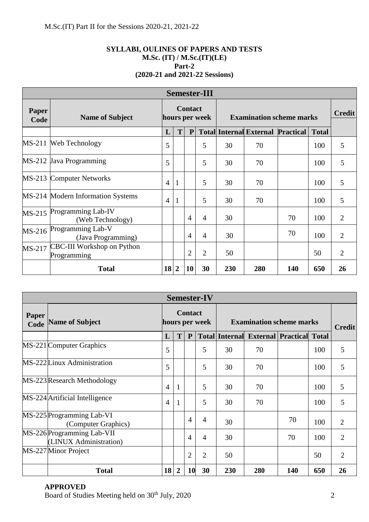# **SYLLABI, OULINES OF PAPERS AND TESTS M.Sc. (IT) / M.Sc.(IT)(LE) Part-2 (2020-21 and 2021-22 Sessions)**

| <b>Semester-III</b> |                                           |    |                                  |                |                                 |     |                                          |     |               |                |
|---------------------|-------------------------------------------|----|----------------------------------|----------------|---------------------------------|-----|------------------------------------------|-----|---------------|----------------|
| Paper<br>Code       | <b>Name of Subject</b>                    |    | <b>Contact</b><br>hours per week |                | <b>Examination scheme marks</b> |     |                                          |     | <b>Credit</b> |                |
|                     |                                           | L  | T                                | P              |                                 |     | <b>Total Internal External Practical</b> |     | <b>Total</b>  |                |
| $MS-211$            | Web Technology                            | 5  |                                  |                | 5                               | 30  | 70                                       |     | 100           | 5              |
|                     | MS-212 Java Programming                   | 5  |                                  |                | 5                               | 30  | 70                                       |     | 100           | 5              |
| $MS-213$            | <b>Computer Networks</b>                  | 4  | 1                                |                | 5                               | 30  | 70                                       |     | 100           | 5              |
|                     | MS-214 Modern Information Systems         | 4  | 1                                |                | 5                               | 30  | 70                                       |     | 100           | 5              |
| $MS-215$            | Programming Lab-IV<br>(Web Technology)    |    |                                  | $\overline{4}$ | 4                               | 30  |                                          | 70  | 100           | $\overline{2}$ |
| MS-216              | Programming Lab-V<br>(Java Programming)   |    |                                  | $\overline{4}$ | $\overline{4}$                  | 30  |                                          | 70  | 100           | $\overline{2}$ |
| MS-217              | CBC-III Workshop on Python<br>Programming |    |                                  | $\overline{2}$ | $\overline{2}$                  | 50  |                                          |     | 50            | $\overline{2}$ |
|                     | <b>Total</b>                              | 18 | $\overline{2}$                   | 10             | 30                              | 230 | 280                                      | 140 | 650           | 26             |

| <b>Semester-IV</b> |                                                      |                                  |                |                |                |                                 |                                                |     |     |                |
|--------------------|------------------------------------------------------|----------------------------------|----------------|----------------|----------------|---------------------------------|------------------------------------------------|-----|-----|----------------|
| Paper<br>Code      | <b>Name of Subject</b>                               | <b>Contact</b><br>hours per week |                |                |                | <b>Examination scheme marks</b> |                                                |     |     | <b>Credit</b>  |
|                    |                                                      | L                                | T              | $\mathbf{P}$   |                |                                 | <b>Total Internal External Practical Total</b> |     |     |                |
|                    | MS-221 Computer Graphics                             | 5                                |                |                | 5              | 30                              | 70                                             |     | 100 | 5              |
|                    | MS-222 Linux Administration                          | 5                                |                |                | 5              | 30                              | 70                                             |     | 100 | 5              |
|                    | MS-223 Research Methodology                          | $\overline{4}$                   | 1              |                | 5              | 30                              | 70                                             |     | 100 | 5              |
|                    | MS-224 Artificial Intelligence                       | $\overline{4}$                   | 1              |                | 5              | 30                              | 70                                             |     | 100 | 5              |
|                    | MS-225 Programming Lab-VI<br>(Computer Graphics)     |                                  |                | 4              | $\overline{4}$ | 30                              |                                                | 70  | 100 | $\overline{2}$ |
|                    | MS-226 Programming Lab-VII<br>(LINUX Administration) |                                  |                | $\overline{4}$ | $\overline{4}$ | 30                              |                                                | 70  | 100 | $\overline{2}$ |
|                    | MS-227 Minor Project                                 |                                  |                | $\overline{2}$ | $\overline{2}$ | 50                              |                                                |     | 50  | $\overline{2}$ |
|                    | <b>Total</b>                                         | 18                               | $\overline{2}$ | 10             | 30             | 230                             | 280                                            | 140 | 650 | 26             |

# **APPROVED**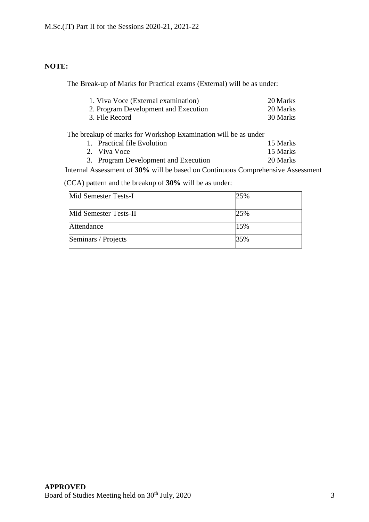# **NOTE:**

The Break-up of Marks for Practical exams (External) will be as under:

| 1. Viva Voce (External examination)  | 20 Marks |
|--------------------------------------|----------|
| 2. Program Development and Execution | 20 Marks |
| 3. File Record                       | 30 Marks |

The breakup of marks for Workshop Examination will be as under

| 1. Practical file Evolution          | 15 Marks |
|--------------------------------------|----------|
| 2. Viva Voce                         | 15 Marks |
| 3. Program Development and Execution | 20 Marks |

Internal Assessment of **30%** will be based on Continuous Comprehensive Assessment

(CCA) pattern and the breakup of **30%** will be as under:

| Mid Semester Tests-I  | 25% |
|-----------------------|-----|
| Mid Semester Tests-II | 25% |
| Attendance            | 15% |
| Seminars / Projects   | 35% |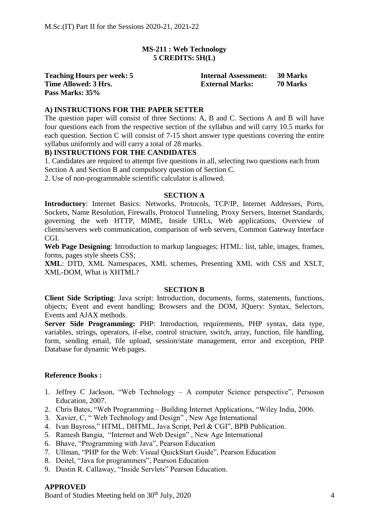# **MS-211 : Web Technology 5 CREDITS: 5H(L)**

| <b>Teaching Hours per week: 5</b> | <b>Internal Assessment:</b> | <b>30 Marks</b> |
|-----------------------------------|-----------------------------|-----------------|
| Time Allowed: 3 Hrs.              | <b>External Marks:</b>      | 70 Marks        |
| Pass Marks: 35%                   |                             |                 |

#### **A) INSTRUCTIONS FOR THE PAPER SETTER**

The question paper will consist of three Sections: A, B and C. Sections A and B will have four questions each from the respective section of the syllabus and will carry 10.5 marks for each question. Section C will consist of 7-15 short answer type questions covering the entire syllabus uniformly and will carry a total of 28 marks.

# **B) INSTRUCTIONS FOR THE CANDIDATES**

1. Candidates are required to attempt five questions in all, selecting two questions each from Section A and Section B and compulsory question of Section C.

2. Use of non-programmable scientific calculator is allowed.

#### **SECTION A**

**Introductory**: Internet Basics: Networks, Protocols, TCP/IP, Internet Addresses, Ports, Sockets, Name Resolution, Firewalls, Protocol Tunneling, Proxy Servers, Internet Standards, governing the web HTTP, MIME, Inside URLs, Web applications, Overview of clients/servers web communication, comparison of web servers, Common Gateway Interface CGI.

**Web Page Designing**: Introduction to markup languages; HTML: list, table, images, frames, forms, pages style sheets CSS;

**XML**: DTD, XML Namespaces, XML schemes, Presenting XML with CSS and XSLT, XML-DOM, What is XHTML?

#### **SECTION B**

**Client Side Scripting**: Java script: Introduction, documents, forms, statements, functions, objects; Event and event handling; Browsers and the DOM, JQuery: Syntax, Selectors, Events and AJAX methods.

**Server Side Programming:** PHP: Introduction, requirements, PHP syntax, data type, variables, strings, operators, if-else, control structure, switch, array, function, file handling, form, sending email, file upload, session/state management, error and exception, PHP Database for dynamic Web pages.

#### **Reference Books :**

- 1. Jeffrey C Jackson, "Web Technology A computer Science perspective", Persoson Education, 2007.
- 2. Chris Bates, "Web Programming Building Internet Applications, "Wiley India, 2006.
- 3. Xavier, C, " Web Technology and Design" , New Age International
- 4. Ivan Bayross," HTML, DHTML, Java Script, Perl & CGI", BPB Publication.
- 5. Ramesh Bangia, "Internet and Web Design" , New Age International
- 6. Bhave, "Programming with Java", Pearson Education
- 7. Ullman, "PHP for the Web: Visual QuickStart Guide", Pearson Education
- 8. Deitel, "Java for programmers", Pearson Education
- 9. Dustin R. Callaway, "Inside Servlets" Pearson Education.

#### **APPROVED**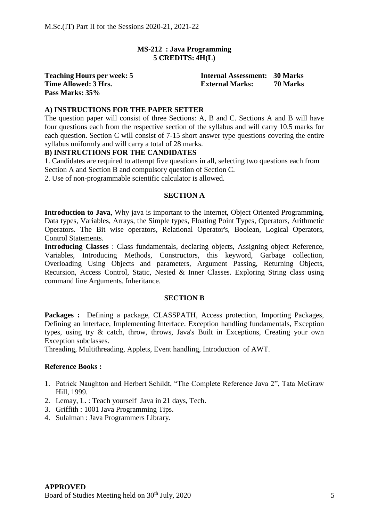# **MS-212 : Java Programming 5 CREDITS: 4H(L)**

**Pass Marks: 35%**

**Teaching Hours per week: 5 Internal Assessment: 30 Marks Time Allowed: 3 Hrs. External Marks: 70 Marks**

# **A) INSTRUCTIONS FOR THE PAPER SETTER**

The question paper will consist of three Sections: A, B and C. Sections A and B will have four questions each from the respective section of the syllabus and will carry 10.5 marks for each question. Section C will consist of 7-15 short answer type questions covering the entire syllabus uniformly and will carry a total of 28 marks.

# **B) INSTRUCTIONS FOR THE CANDIDATES**

1. Candidates are required to attempt five questions in all, selecting two questions each from Section A and Section B and compulsory question of Section C.

2. Use of non-programmable scientific calculator is allowed.

#### **SECTION A**

**Introduction to Java**, Why java is important to the Internet, Object Oriented Programming, Data types, Variables, Arrays, the Simple types, Floating Point Types, Operators, Arithmetic Operators. The Bit wise operators, Relational Operator's, Boolean, Logical Operators, Control Statements.

**Introducing Classes** : Class fundamentals, declaring objects, Assigning object Reference, Variables, Introducing Methods, Constructors, this keyword, Garbage collection, Overloading Using Objects and parameters, Argument Passing, Returning Objects, Recursion, Access Control, Static, Nested & Inner Classes. Exploring String class using command line Arguments. Inheritance.

### **SECTION B**

**Packages :** Defining a package, CLASSPATH, Access protection, Importing Packages, Defining an interface, Implementing Interface. Exception handling fundamentals, Exception types, using try & catch, throw, throws, Java's Built in Exceptions, Creating your own Exception subclasses.

Threading, Multithreading, Applets, Event handling, Introduction of AWT.

#### **Reference Books :**

- 1. Patrick Naughton and Herbert Schildt, "The Complete Reference Java 2", Tata McGraw Hill, 1999.
- 2. Lemay, L. : Teach yourself Java in 21 days, Tech.
- 3. Griffith : 1001 Java Programming Tips.
- 4. Sulalman : Java Programmers Library.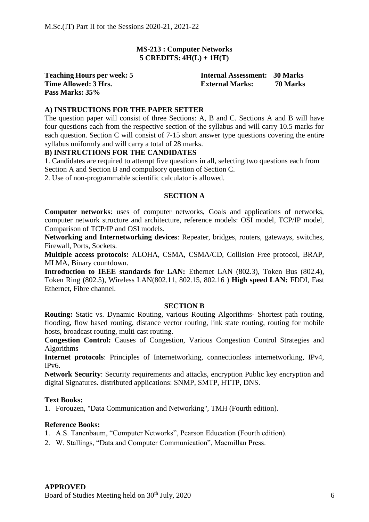# **MS-213 : Computer Networks 5 CREDITS: 4H(L) + 1H(T)**

# **Pass Marks: 35%**

**Teaching Hours per week: 5 Internal Assessment: 30 Marks Time Allowed: 3 Hrs. External Marks: 70 Marks**

# **A) INSTRUCTIONS FOR THE PAPER SETTER**

The question paper will consist of three Sections: A, B and C. Sections A and B will have four questions each from the respective section of the syllabus and will carry 10.5 marks for each question. Section C will consist of 7-15 short answer type questions covering the entire syllabus uniformly and will carry a total of 28 marks.

## **B) INSTRUCTIONS FOR THE CANDIDATES**

1. Candidates are required to attempt five questions in all, selecting two questions each from Section A and Section B and compulsory question of Section C.

2. Use of non-programmable scientific calculator is allowed.

#### **SECTION A**

**Computer networks**: uses of computer networks, Goals and applications of networks, computer network structure and architecture, reference models: OSI model, TCP/IP model, Comparison of TCP/IP and OSI models.

**Networking and Internetworking devices**: Repeater, bridges, routers, gateways, switches, Firewall, Ports, Sockets.

**Multiple access protocols:** ALOHA, CSMA, CSMA/CD, Collision Free protocol, BRAP, MLMA, Binary countdown.

**Introduction to IEEE standards for LAN:** Ethernet LAN (802.3), Token Bus (802.4), Token Ring (802.5), Wireless LAN(802.11, 802.15, 802.16 ) **High speed LAN:** FDDI, Fast Ethernet, Fibre channel.

#### **SECTION B**

**Routing:** Static vs. Dynamic Routing, various Routing Algorithms- Shortest path routing, flooding, flow based routing, distance vector routing, link state routing, routing for mobile hosts, broadcast routing, multi cast routing.

**Congestion Control:** Causes of Congestion, Various Congestion Control Strategies and Algorithms

**Internet protocols**: Principles of Internetworking, connectionless internetworking, IPv4, IPv6.

**Network Security**: Security requirements and attacks, encryption Public key encryption and digital Signatures. distributed applications: SNMP, SMTP, HTTP, DNS.

#### **Text Books:**

1. Forouzen, "Data Communication and Networking", TMH (Fourth edition).

#### **Reference Books:**

- 1. A.S. Tanenbaum, "Computer Networks", Pearson Education (Fourth edition).
- 2. W. Stallings, "Data and Computer Communication", Macmillan Press.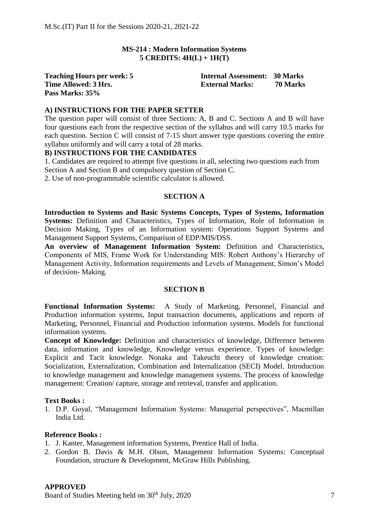# **MS-214 : Modern Information Systems 5 CREDITS: 4H(L) + 1H(T)**

# **Pass Marks: 35%**

**Teaching Hours per week: 5 Internal Assessment: 30 Marks Time Allowed: 3 Hrs. External Marks: 70 Marks**

## **A) INSTRUCTIONS FOR THE PAPER SETTER**

The question paper will consist of three Sections: A, B and C. Sections A and B will have four questions each from the respective section of the syllabus and will carry 10.5 marks for each question. Section C will consist of 7-15 short answer type questions covering the entire syllabus uniformly and will carry a total of 28 marks.

#### **B) INSTRUCTIONS FOR THE CANDIDATES**

1. Candidates are required to attempt five questions in all, selecting two questions each from Section A and Section B and compulsory question of Section C.

2. Use of non-programmable scientific calculator is allowed.

#### **SECTION A**

**Introduction to Systems and Basic Systems Concepts, Types of Systems, Information Systems:** Definition and Characteristics, Types of Information, Role of Information in Decision Making, Types of an Information system: Operations Support Systems and Management Support Systems, Comparison of EDP/MIS/DSS.

**An overview of Management Information System:** Definition and Characteristics, Components of MIS, Frame Work for Understanding MIS: Robert Anthony's Hierarchy of Management Activity, Information requirements and Levels of Management, Simon's Model of decision- Making.

#### **SECTION B**

**Functional Information Systems:** A Study of Marketing, Personnel, Financial and Production information systems, Input transaction documents, applications and reports of Marketing, Personnel, Financial and Production information systems. Models for functional information systems.

**Concept of Knowledge:** Definition and characteristics of knowledge, Difference between data, information and knowledge, Knowledge versus experience. Types of knowledge: Explicit and Tacit knowledge. Nonaka and Takeuchi theory of knowledge creation: Socialization, Externalization, Combination and Internalization (SECI) Model. Introduction to knowledge management and knowledge management systems. The process of knowledge management: Creation/ capture, storage and retrieval, transfer and application.

#### **Text Books :**

1. D.P. Goyal, "Management Information Systems: Managerial perspectives", Macmillan India Ltd.

#### **Reference Books :**

- 1. J. Kanter, Management information Systems, Prentice Hall of India.
- 2. Gordon B. Davis & M.H. Olson, Management Information Systems: Conceptual Foundation, structure & Development, McGraw Hills Publishing.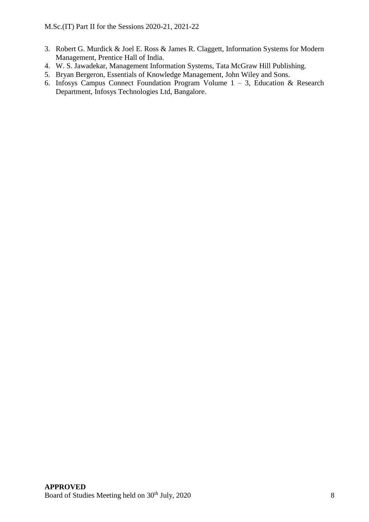- 3. Robert G. Murdick & Joel E. Ross & James R. Claggett, Information Systems for Modern Management, Prentice Hall of India.
- 4. W. S. Jawadekar, Management Information Systems, Tata McGraw Hill Publishing.
- 5. Bryan Bergeron, Essentials of Knowledge Management, John Wiley and Sons.
- 6. Infosys Campus Connect Foundation Program Volume 1 3, Education & Research Department, Infosys Technologies Ltd, Bangalore.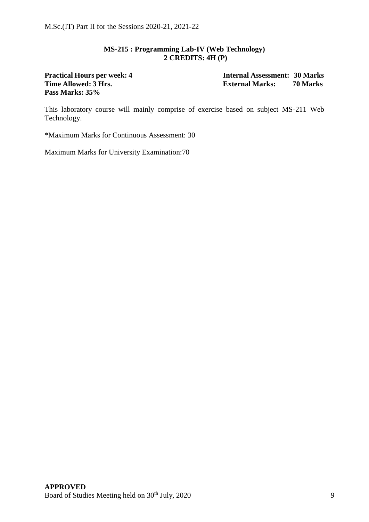# **MS-215 : Programming Lab-IV (Web Technology) 2 CREDITS: 4H (P)**

# **Time Allowed: 3 Hrs. External Marks: Pass Marks: 35%**

**Practical Hours per week: 4 Internal Assessment: 30 Marks**

This laboratory course will mainly comprise of exercise based on subject MS-211 Web Technology.

\*Maximum Marks for Continuous Assessment: 30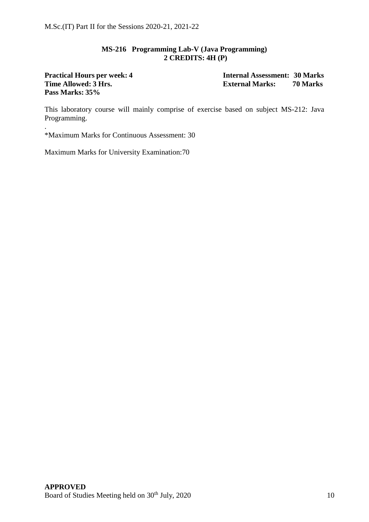## **MS-216 Programming Lab-V (Java Programming) 2 CREDITS: 4H (P)**

# **Time** Allowed: 3 Hrs. **External Marks: Pass Marks: 35%**

.

**Practical Hours per week: 4 Internal Assessment: 30 Marks**

This laboratory course will mainly comprise of exercise based on subject MS-212: Java Programming.

\*Maximum Marks for Continuous Assessment: 30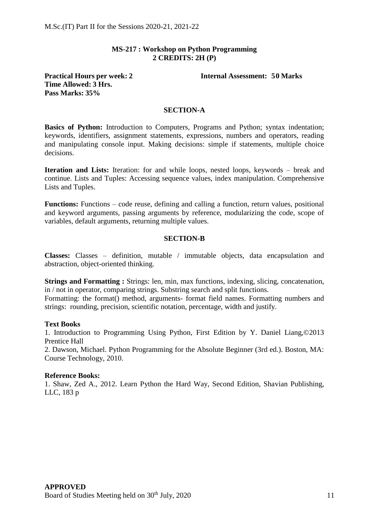# **MS-217 : Workshop on Python Programming 2 CREDITS: 2H (P)**

# **Time Allowed: 3 Hrs. Pass Marks: 35%**

**Practical Hours per week: 2 Internal Assessment: 50 Marks**

#### **SECTION-A**

**Basics of Python:** Introduction to Computers, Programs and Python; syntax indentation; keywords, identifiers, assignment statements, expressions, numbers and operators, reading and manipulating console input. Making decisions: simple if statements, multiple choice decisions.

**Iteration and Lists:** Iteration: for and while loops, nested loops, keywords – break and continue. Lists and Tuples: Accessing sequence values, index manipulation. Comprehensive Lists and Tuples.

**Functions:** Functions – code reuse, defining and calling a function, return values, positional and keyword arguments, passing arguments by reference, modularizing the code, scope of variables, default arguments, returning multiple values.

#### **SECTION-B**

**Classes:** Classes – definition, mutable / immutable objects, data encapsulation and abstraction, object-oriented thinking.

**Strings and Formatting :** Strings: len, min, max functions, indexing, slicing, concatenation, in / not in operator, comparing strings. Substring search and split functions.

Formatting: the format() method, arguments- format field names. Formatting numbers and strings: rounding, precision, scientific notation, percentage, width and justify.

#### **Text Books**

1. Introduction to Programming Using Python, First Edition by Y. Daniel Liang,©2013 Prentice Hall

2. Dawson, Michael. Python Programming for the Absolute Beginner (3rd ed.). Boston, MA: Course Technology, 2010.

#### **Reference Books:**

1. Shaw, Zed A., 2012. Learn Python the Hard Way, Second Edition, Shavian Publishing, LLC, 183 p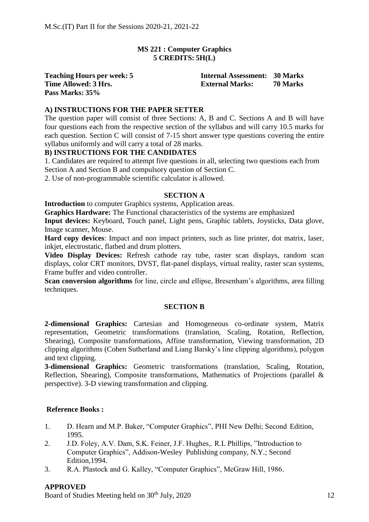# **MS 221 : Computer Graphics 5 CREDITS: 5H(L)**

**Pass Marks: 35%**

**Teaching Hours per week: 5 Internal Assessment: 30 Marks Time Allowed: 3 Hrs. External Marks: 70 Marks**

# **A) INSTRUCTIONS FOR THE PAPER SETTER**

The question paper will consist of three Sections: A, B and C. Sections A and B will have four questions each from the respective section of the syllabus and will carry 10.5 marks for each question. Section C will consist of 7-15 short answer type questions covering the entire syllabus uniformly and will carry a total of 28 marks.

# **B) INSTRUCTIONS FOR THE CANDIDATES**

1. Candidates are required to attempt five questions in all, selecting two questions each from Section A and Section B and compulsory question of Section C.

2. Use of non-programmable scientific calculator is allowed.

#### **SECTION A**

**Introduction** to computer Graphics systems, Application areas.

**Graphics Hardware:** The Functional characteristics of the systems are emphasized

**Input devices:** Keyboard, Touch panel, Light pens, Graphic tablets, Joysticks, Data glove, Image scanner, Mouse.

**Hard copy devices**: Impact and non impact printers, such as line printer, dot matrix, laser, inkjet, electrostatic, flatbed and drum plotters.

**Video Display Devices:** Refresh cathode ray tube, raster scan displays, random scan displays, color CRT monitors, DVST, flat-panel displays, virtual reality, raster scan systems, Frame buffer and video controller.

**Scan conversion algorithms** for line, circle and ellipse, Bresenham's algorithms, area filling techniques.

#### **SECTION B**

**2-dimensional Graphics:** Cartesian and Homogeneous co-ordinate system, Matrix representation, Geometric transformations (translation, Scaling, Rotation, Reflection, Shearing), Composite transformations, Affine transformation, Viewing transformation, 2D clipping algorithms (Cohen Sutherland and Liang Barsky's line clipping algorithms), polygon and text clipping.

**3-dimensional Graphics:** Geometric transformations (translation, Scaling, Rotation, Reflection, Shearing), Composite transformations, Mathematics of Projections (parallel & perspective). 3-D viewing transformation and clipping.

#### **Reference Books :**

- 1. D. Hearn and M.P. Baker, "Computer Graphics", PHI New Delhi; Second Edition, 1995.
- 2. J.D. Foley, A.V. Dam, S.K. Feiner, J.F. Hughes,. R.L Phillips, "Introduction to Computer Graphics", Addison-Wesley Publishing company, N.Y.; Second Edition,1994.
- 3. R.A. Plastock and G. Kalley, "Computer Graphics", McGraw Hill, 1986.

#### **APPROVED**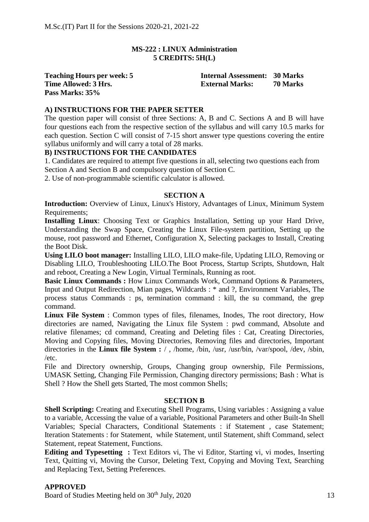# **MS-222 : LINUX Administration 5 CREDITS: 5H(L)**

**Pass Marks: 35%**

**Teaching Hours per week: 5 Internal Assessment: 30 Marks Time Allowed: 3 Hrs. External Marks: 70 Marks**

# **A) INSTRUCTIONS FOR THE PAPER SETTER**

The question paper will consist of three Sections: A, B and C. Sections A and B will have four questions each from the respective section of the syllabus and will carry 10.5 marks for each question. Section C will consist of 7-15 short answer type questions covering the entire syllabus uniformly and will carry a total of 28 marks.

# **B) INSTRUCTIONS FOR THE CANDIDATES**

1. Candidates are required to attempt five questions in all, selecting two questions each from Section A and Section B and compulsory question of Section C.

2. Use of non-programmable scientific calculator is allowed.

## **SECTION A**

**Introduction:** Overview of Linux, Linux's History, Advantages of Linux, Minimum System Requirements;

Installing Linux: Choosing Text or Graphics Installation, Setting up your Hard Drive, Understanding the Swap Space, Creating the Linux File-system partition, Setting up the mouse, root password and Ethernet, Configuration X, Selecting packages to Install, Creating the Boot Disk.

**Using LILO boot manager:** Installing LILO, LILO make-file, Updating LILO, Removing or Disabling LILO, Troubleshooting LILO.The Boot Process, Startup Scripts, Shutdown, Halt and reboot, Creating a New Login, Virtual Terminals, Running as root.

**Basic Linux Commands :** How Linux Commands Work, Command Options & Parameters, Input and Output Redirection, Mian pages, Wildcards : \* and ?, Environment Variables, The process status Commands : ps, termination command : kill, the su command, the grep command.

**Linux File System** : Common types of files, filenames, Inodes, The root directory, How directories are named, Navigating the Linux file System : pwd command, Absolute and relative filenames; cd command, Creating and Deleting files : Cat, Creating Directories, Moving and Copying files, Moving Directories, Removing files and directories, Important directories in the **Linux file System :** / , /home, /bin, /usr, /usr/bin, /var/spool, /dev, /sbin, /etc.

File and Directory ownership, Groups, Changing group ownership, File Permissions, UMASK Setting, Changing File Permission, Changing directory permissions; Bash : What is Shell ? How the Shell gets Started, The most common Shells;

#### **SECTION B**

**Shell Scripting:** Creating and Executing Shell Programs, Using variables : Assigning a value to a variable, Accessing the value of a variable, Positional Parameters and other Built-In Shell Variables; Special Characters, Conditional Statements : if Statement , case Statement; Iteration Statements : for Statement, while Statement, until Statement, shift Command, select Statement, repeat Statement, Functions.

**Editing and Typesetting :** Text Editors vi, The vi Editor, Starting vi, vi modes, Inserting Text, Quitting vi, Moving the Cursor, Deleting Text, Copying and Moving Text, Searching and Replacing Text, Setting Preferences.

#### **APPROVED**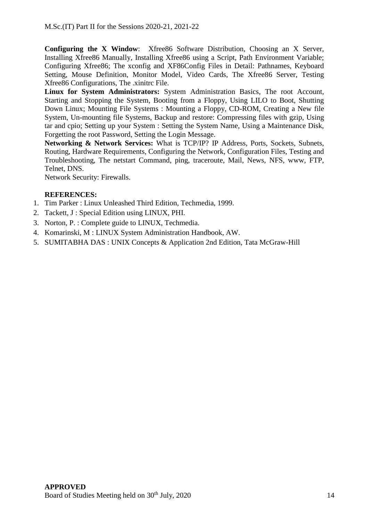**Configuring the X Window**: Xfree86 Software Distribution, Choosing an X Server, Installing Xfree86 Manually, Installing Xfree86 using a Script, Path Environment Variable; Configuring Xfree86; The xconfig and XF86Config Files in Detail: Pathnames, Keyboard Setting, Mouse Definition, Monitor Model, Video Cards, The Xfree86 Server, Testing Xfree86 Configurations, The .xinitrc File.

**Linux for System Administrators:** System Administration Basics, The root Account, Starting and Stopping the System, Booting from a Floppy, Using LILO to Boot, Shutting Down Linux; Mounting File Systems : Mounting a Floppy, CD-ROM, Creating a New file System, Un-mounting file Systems, Backup and restore: Compressing files with gzip, Using tar and cpio; Setting up your System : Setting the System Name, Using a Maintenance Disk, Forgetting the root Password, Setting the Login Message.

**Networking & Network Services:** What is TCP/IP? IP Address, Ports, Sockets, Subnets, Routing, Hardware Requirements, Configuring the Network, Configuration Files, Testing and Troubleshooting, The netstart Command, ping, traceroute, Mail, News, NFS, www, FTP, Telnet, DNS.

Network Security: Firewalls.

# **REFERENCES:**

- 1. Tim Parker : Linux Unleashed Third Edition, Techmedia, 1999.
- 2. Tackett, J : Special Edition using LINUX, PHI.
- 3. Norton, P. : Complete guide to LINUX, Techmedia.
- 4. Komarinski, M : LINUX System Administration Handbook, AW.
- 5. SUMITABHA DAS : UNIX Concepts & Application 2nd Edition, Tata McGraw-Hill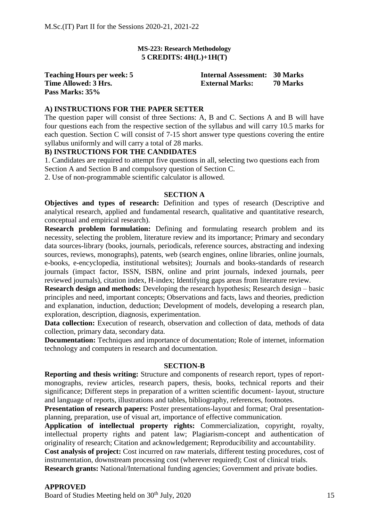#### **MS-223: Research Methodology 5 CREDITS: 4H(L)+1H(T)**

**Pass Marks: 35%**

**Teaching Hours per week: 5 Internal Assessment: 30 Marks Time Allowed: 3 Hrs. External Marks: 70 Marks**

#### **A) INSTRUCTIONS FOR THE PAPER SETTER**

The question paper will consist of three Sections: A, B and C. Sections A and B will have four questions each from the respective section of the syllabus and will carry 10.5 marks for each question. Section C will consist of 7-15 short answer type questions covering the entire syllabus uniformly and will carry a total of 28 marks.

#### **B) INSTRUCTIONS FOR THE CANDIDATES**

1. Candidates are required to attempt five questions in all, selecting two questions each from Section A and Section B and compulsory question of Section C.

2. Use of non-programmable scientific calculator is allowed.

#### **SECTION A**

**Objectives and types of research:** Definition and types of research (Descriptive and analytical research, applied and fundamental research, qualitative and quantitative research, conceptual and empirical research).

**Research problem formulation:** Defining and formulating research problem and its necessity, selecting the problem, literature review and its importance; Primary and secondary data sources-library (books, journals, periodicals, reference sources, abstracting and indexing sources, reviews, monographs), patents, web (search engines, online libraries, online journals, e-books, e-encyclopedia, institutional websites); Journals and books-standards of research journals (impact factor, ISSN, ISBN, online and print journals, indexed journals, peer reviewed journals), citation index, H-index; Identifying gaps areas from literature review.

**Research design and methods:** Developing the research hypothesis; Research design – basic principles and need, important concepts; Observations and facts, laws and theories, prediction and explanation, induction, deduction; Development of models, developing a research plan, exploration, description, diagnosis, experimentation.

**Data collection:** Execution of research, observation and collection of data, methods of data collection, primary data, secondary data.

**Documentation:** Techniques and importance of documentation; Role of internet, information technology and computers in research and documentation.

#### **SECTION-B**

**Reporting and thesis writing:** Structure and components of research report, types of reportmonographs, review articles, research papers, thesis, books, technical reports and their significance; Different steps in preparation of a written scientific document- layout, structure and language of reports, illustrations and tables, bibliography, references, footnotes.

**Presentation of research papers:** Poster presentations-layout and format; Oral presentationplanning, preparation, use of visual art, importance of effective communication.

**Application of intellectual property rights:** Commercialization, copyright, royalty, intellectual property rights and patent law; Plagiarism-concept and authentication of originality of research; Citation and acknowledgement; Reproducibility and accountability.

**Cost analysis of project:** Cost incurred on raw materials, different testing procedures, cost of instrumentation, downstream processing cost (wherever required); Cost of clinical trials.

**Research grants:** National/International funding agencies; Government and private bodies.

## **APPROVED**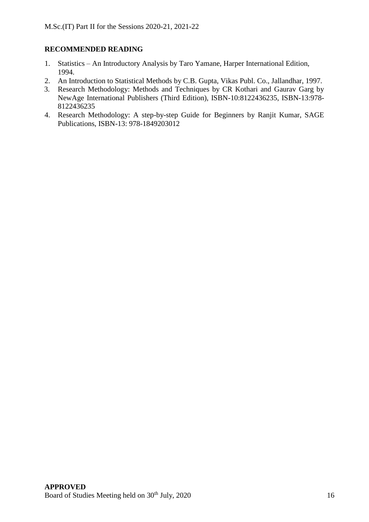# **RECOMMENDED READING**

- 1. Statistics An Introductory Analysis by Taro Yamane, Harper International Edition, 1994.
- 2. An Introduction to Statistical Methods by C.B. Gupta, Vikas Publ. Co., Jallandhar, 1997.
- 3. Research Methodology: Methods and Techniques by CR Kothari and Gaurav Garg by NewAge International Publishers (Third Edition), ISBN-10:8122436235, ISBN-13:978- 8122436235
- 4. Research Methodology: A step-by-step Guide for Beginners by Ranjit Kumar, SAGE Publications, ISBN-13: 978-1849203012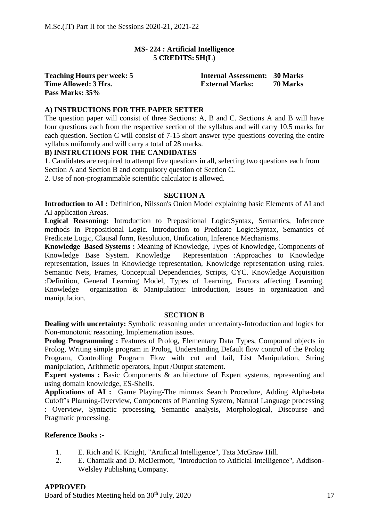# **MS- 224 : Artificial Intelligence 5 CREDITS: 5H(L)**

**Pass Marks: 35%**

**Teaching Hours per week: 5 Internal Assessment: 30 Marks Time Allowed: 3 Hrs. External Marks: 70 Marks**

# **A) INSTRUCTIONS FOR THE PAPER SETTER**

The question paper will consist of three Sections: A, B and C. Sections A and B will have four questions each from the respective section of the syllabus and will carry 10.5 marks for each question. Section C will consist of 7-15 short answer type questions covering the entire syllabus uniformly and will carry a total of 28 marks.

# **B) INSTRUCTIONS FOR THE CANDIDATES**

1. Candidates are required to attempt five questions in all, selecting two questions each from Section A and Section B and compulsory question of Section C.

2. Use of non-programmable scientific calculator is allowed.

#### **SECTION A**

**Introduction to AI :** Definition, Nilsson's Onion Model explaining basic Elements of AI and AI application Areas.

**Logical Reasoning:** Introduction to Prepositional Logic:Syntax, Semantics, Inference methods in Prepositional Logic. Introduction to Predicate Logic:Syntax, Semantics of Predicate Logic, Clausal form, Resolution, Unification, Inference Mechanisms.

**Knowledge Based Systems :** Meaning of Knowledge, Types of Knowledge, Components of Knowledge Base System. Knowledge Representation :Approaches to Knowledge representation, Issues in Knowledge representation, Knowledge representation using rules. Semantic Nets, Frames, Conceptual Dependencies, Scripts, CYC. Knowledge Acquisition :Definition, General Learning Model, Types of Learning, Factors affecting Learning. Knowledge organization & Manipulation: Introduction, Issues in organization and manipulation.

#### **SECTION B**

**Dealing with uncertainty:** Symbolic reasoning under uncertainty-Introduction and logics for Non-monotonic reasoning, Implementation issues.

**Prolog Programming :** Features of Prolog, Elementary Data Types, Compound objects in Prolog, Writing simple program in Prolog, Understanding Default flow control of the Prolog Program, Controlling Program Flow with cut and fail, List Manipulation, String manipulation, Arithmetic operators, Input /Output statement.

**Expert systems :** Basic Components & architecture of Expert systems, representing and using domain knowledge, ES-Shells.

**Applications of AI :** Game Playing-The minmax Search Procedure, Adding Alpha-beta Cutoff's Planning-Overview, Components of Planning System, Natural Language processing : Overview, Syntactic processing, Semantic analysis, Morphological, Discourse and Pragmatic processing.

#### **Reference Books :-**

- 1. E. Rich and K. Knight, "Artificial Intelligence", Tata McGraw Hill.
- 2. E. Charnaik and D. McDermott, "Introduction to Atificial Intelligence", Addison-Welsley Publishing Company.

## **APPROVED**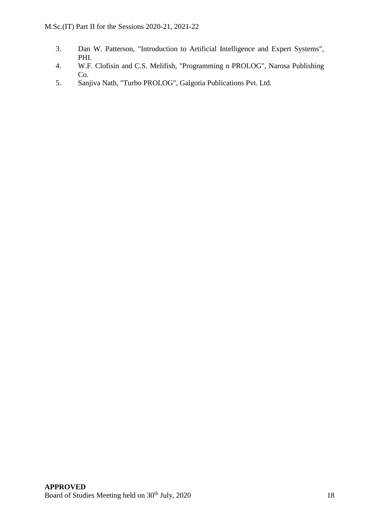- 3. Dan W. Patterson, "Introduction to Artificial Intelligence and Expert Systems", PHI.
- 4. W.F. Clofisin and C.S. Melifish, "Programming n PROLOG", Narosa Publishing Co.
- 5. Sanjiva Nath, "Turbo PROLOG", Galgotia Publications Pvt. Ltd.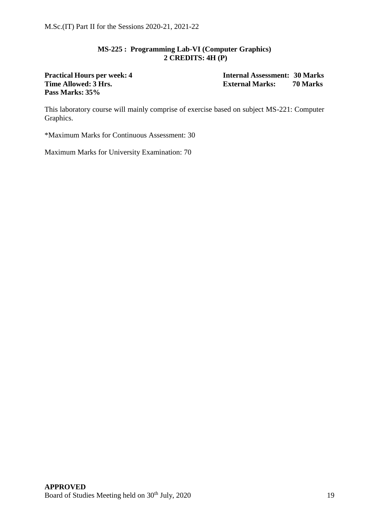# **MS-225 : Programming Lab-VI (Computer Graphics) 2 CREDITS: 4H (P)**

# **Pass Marks: 35%**

**Practical Hours per week: 4 Internal Assessment: 30 Marks Time Allowed: 3 Hrs. External Marks: 70 Marks**

This laboratory course will mainly comprise of exercise based on subject MS-221: Computer Graphics.

\*Maximum Marks for Continuous Assessment: 30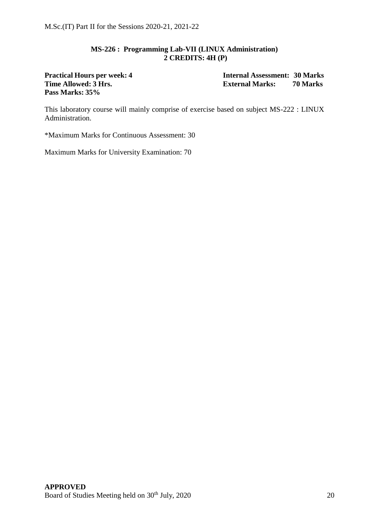# **MS-226 : Programming Lab-VII (LINUX Administration) 2 CREDITS: 4H (P)**

**Time** Allowed: 3 Hrs. **External Marks: Pass Marks: 35%**

**Practical Hours per week: 4 Internal Assessment: 30 Marks**

This laboratory course will mainly comprise of exercise based on subject MS-222 : LINUX Administration.

\*Maximum Marks for Continuous Assessment: 30